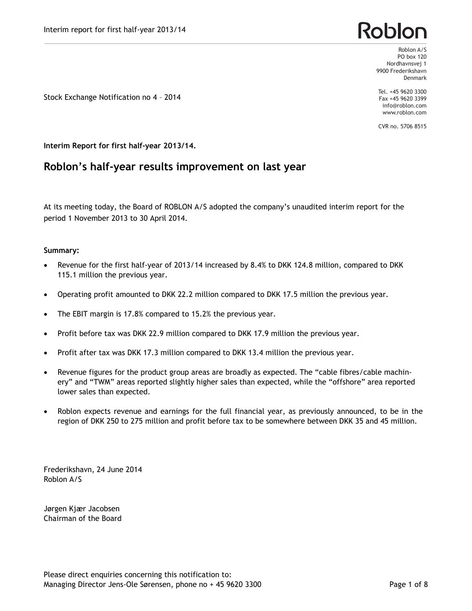## Roblor

Roblon A/S PO box 120 Nordhavnsvej 1 9900 Frederikshavn Denmark

Tel. +45 9620 3300 Fax +45 9620 3399 info@roblon.com www.roblon.com

CVR no. 5706 8515

Stock Exchange Notification no 4 – 2014

**Interim Report for first half-year 2013/14.**

### **Roblon's half-year results improvement on last year**

At its meeting today, the Board of ROBLON A/S adopted the company's unaudited interim report for the period 1 November 2013 to 30 April 2014.

#### **Summary:**

- Revenue for the first half-year of 2013/14 increased by 8.4% to DKK 124.8 million, compared to DKK 115.1 million the previous year.
- · Operating profit amounted to DKK 22.2 million compared to DKK 17.5 million the previous year.
- · The EBIT margin is 17.8% compared to 15.2% the previous year.
- · Profit before tax was DKK 22.9 million compared to DKK 17.9 million the previous year.
- Profit after tax was DKK 17.3 million compared to DKK 13.4 million the previous year.
- Revenue figures for the product group areas are broadly as expected. The "cable fibres/cable machinery" and "TWM" areas reported slightly higher sales than expected, while the "offshore" area reported lower sales than expected.
- · Roblon expects revenue and earnings for the full financial year, as previously announced, to be in the region of DKK 250 to 275 million and profit before tax to be somewhere between DKK 35 and 45 million.

Frederikshavn, 24 June 2014 Roblon A/S

Jørgen Kjær Jacobsen Chairman of the Board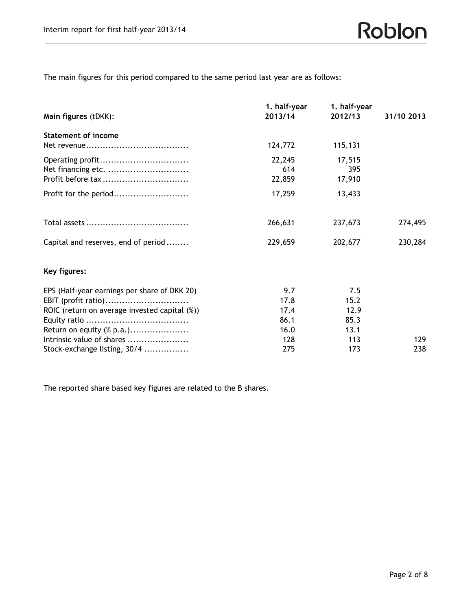The main figures for this period compared to the same period last year are as follows:

| Main figures (tDKK):                          | 1. half-year<br>2013/14 | 1. half-year<br>2012/13 | 31/10 2013 |
|-----------------------------------------------|-------------------------|-------------------------|------------|
|                                               |                         |                         |            |
| <b>Statement of income</b>                    |                         |                         |            |
|                                               | 124,772                 | 115,131                 |            |
| Operating profit                              | 22,245                  | 17,515                  |            |
| Net financing etc.                            | 614                     | 395                     |            |
| Profit before tax                             | 22,859                  | 17,910                  |            |
| Profit for the period                         | 17,259                  | 13,433                  |            |
|                                               | 266,631                 | 237,673                 | 274,495    |
| Capital and reserves, end of period           | 229,659                 | 202,677                 | 230,284    |
| Key figures:                                  |                         |                         |            |
| EPS (Half-year earnings per share of DKK 20)  | 9.7                     | 7.5                     |            |
| EBIT (profit ratio)                           | 17.8                    | 15.2                    |            |
| ROIC (return on average invested capital (%)) | 17.4                    | 12.9                    |            |
|                                               | 86.1                    | 85.3                    |            |
| Return on equity (% p.a.)                     | 16.0                    | 13.1                    |            |
| Intrinsic value of shares                     | 128                     | 113                     | 129        |
| Stock-exchange listing, 30/4                  | 275                     | 173                     | 238        |

The reported share based key figures are related to the B shares.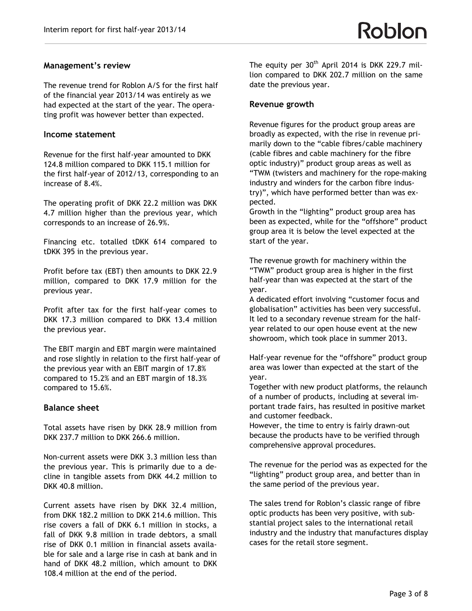#### **Management's review**

The revenue trend for Roblon A/S for the first half of the financial year 2013/14 was entirely as we had expected at the start of the year. The operating profit was however better than expected.

#### **Income statement**

Revenue for the first half-year amounted to DKK 124.8 million compared to DKK 115.1 million for the first half-year of 2012/13, corresponding to an increase of 8.4%.

The operating profit of DKK 22.2 million was DKK 4.7 million higher than the previous year, which corresponds to an increase of 26.9%.

Financing etc. totalled tDKK 614 compared to tDKK 395 in the previous year.

Profit before tax (EBT) then amounts to DKK 22.9 million, compared to DKK 17.9 million for the previous year.

Profit after tax for the first half-year comes to DKK 17.3 million compared to DKK 13.4 million the previous year.

The EBIT margin and EBT margin were maintained and rose slightly in relation to the first half-year of the previous year with an EBIT margin of 17.8% compared to 15.2% and an EBT margin of 18.3% compared to 15.6%.

#### **Balance sheet**

Total assets have risen by DKK 28.9 million from DKK 237.7 million to DKK 266.6 million.

Non-current assets were DKK 3.3 million less than the previous year. This is primarily due to a decline in tangible assets from DKK 44.2 million to DKK 40.8 million.

Current assets have risen by DKK 32.4 million, from DKK 182.2 million to DKK 214.6 million. This rise covers a fall of DKK 6.1 million in stocks, a fall of DKK 9.8 million in trade debtors, a small rise of DKK 0.1 million in financial assets available for sale and a large rise in cash at bank and in hand of DKK 48.2 million, which amount to DKK 108.4 million at the end of the period.

The equity per  $30<sup>th</sup>$  April 2014 is DKK 229.7 million compared to DKK 202.7 million on the same date the previous year.

#### **Revenue growth**

Revenue figures for the product group areas are broadly as expected, with the rise in revenue primarily down to the "cable fibres/cable machinery (cable fibres and cable machinery for the fibre optic industry)" product group areas as well as "TWM (twisters and machinery for the rope-making industry and winders for the carbon fibre industry)", which have performed better than was expected.

Growth in the "lighting" product group area has been as expected, while for the "offshore" product group area it is below the level expected at the start of the year.

The revenue growth for machinery within the "TWM" product group area is higher in the first half-year than was expected at the start of the year.

A dedicated effort involving "customer focus and globalisation" activities has been very successful. It led to a secondary revenue stream for the halfyear related to our open house event at the new showroom, which took place in summer 2013.

Half-year revenue for the "offshore" product group area was lower than expected at the start of the year.

Together with new product platforms, the relaunch of a number of products, including at several important trade fairs, has resulted in positive market and customer feedback.

However, the time to entry is fairly drawn-out because the products have to be verified through comprehensive approval procedures.

The revenue for the period was as expected for the "lighting" product group area, and better than in the same period of the previous year.

The sales trend for Roblon's classic range of fibre optic products has been very positive, with substantial project sales to the international retail industry and the industry that manufactures display cases for the retail store segment.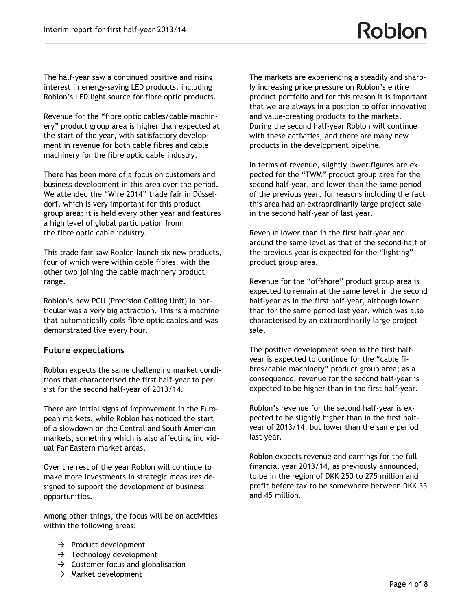The half-year saw a continued positive and rising interest in energy-saving LED products, including Roblon's LED light source for fibre optic products.

Revenue for the "fibre optic cables/cable machinery" product group area is higher than expected at the start of the year, with satisfactory development in revenue for both cable fibres and cable machinery for the fibre optic cable industry.

There has been more of a focus on customers and business development in this area over the period. We attended the "Wire 2014" trade fair in Düsseldorf, which is very important for this product group area; it is held every other year and features a high level of global participation from the fibre optic cable industry.

This trade fair saw Roblon launch six new products, four of which were within cable fibres, with the other two joining the cable machinery product range.

Roblon's new PCU (Precision Coiling Unit) in particular was a very big attraction. This is a machine that automatically coils fibre optic cables and was demonstrated live every hour.

#### **Future expectations**

Roblon expects the same challenging market conditions that characterised the first half-year to persist for the second half-year of 2013/14.

There are initial signs of improvement in the European markets, while Roblon has noticed the start of a slowdown on the Central and South American markets, something which is also affecting individual Far Eastern market areas.

Over the rest of the year Roblon will continue to make more investments in strategic measures designed to support the development of business opportunities.

Among other things, the focus will be on activities within the following areas:

- $\rightarrow$  Product development
- $\rightarrow$  Technology development
- $\rightarrow$  Customer focus and globalisation
- $\rightarrow$  Market development

The markets are experiencing a steadily and sharply increasing price pressure on Roblon's entire product portfolio and for this reason it is important that we are always in a position to offer innovative and value-creating products to the markets. During the second half-year Roblon will continue with these activities, and there are many new products in the development pipeline.

In terms of revenue, slightly lower figures are expected for the "TWM" product group area for the second half-year, and lower than the same period of the previous year, for reasons including the fact this area had an extraordinarily large project sale in the second half-year of last year.

Revenue lower than in the first half-year and around the same level as that of the second-half of the previous year is expected for the "lighting" product group area.

Revenue for the "offshore" product group area is expected to remain at the same level in the second half-year as in the first half-year, although lower than for the same period last year, which was also characterised by an extraordinarily large project sale.

The positive development seen in the first halfyear is expected to continue for the "cable fibres/cable machinery" product group area; as a consequence, revenue for the second half-year is expected to be higher than in the first half-year.

Roblon's revenue for the second half-year is expected to be slightly higher than in the first halfyear of 2013/14, but lower than the same period last year.

Roblon expects revenue and earnings for the full financial year 2013/14, as previously announced, to be in the region of DKK 250 to 275 million and profit before tax to be somewhere between DKK 35 and 45 million.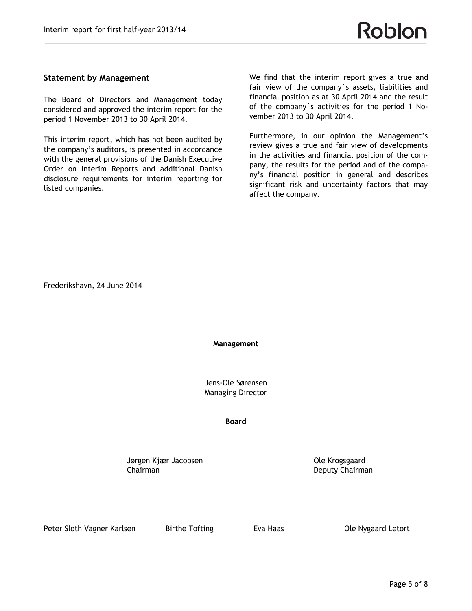#### **Statement by Management**

The Board of Directors and Management today considered and approved the interim report for the period 1 November 2013 to 30 April 2014.

This interim report, which has not been audited by the company's auditors, is presented in accordance with the general provisions of the Danish Executive Order on Interim Reports and additional Danish disclosure requirements for interim reporting for listed companies.

We find that the interim report gives a true and fair view of the company´s assets, liabilities and financial position as at 30 April 2014 and the result of the company´s activities for the period 1 November 2013 to 30 April 2014.

Furthermore, in our opinion the Management's review gives a true and fair view of developments in the activities and financial position of the company, the results for the period and of the company's financial position in general and describes significant risk and uncertainty factors that may affect the company.

Frederikshavn, 24 June 2014

**Management**

Jens-Ole Sørensen Managing Director

#### **Board**

Jørgen Kjær Jacobsen Ole Krogsgaard Chairman Deputy Chairman

Peter Sloth Vagner Karlsen Birthe Tofting Eva Haas Sloth Vagaard Letort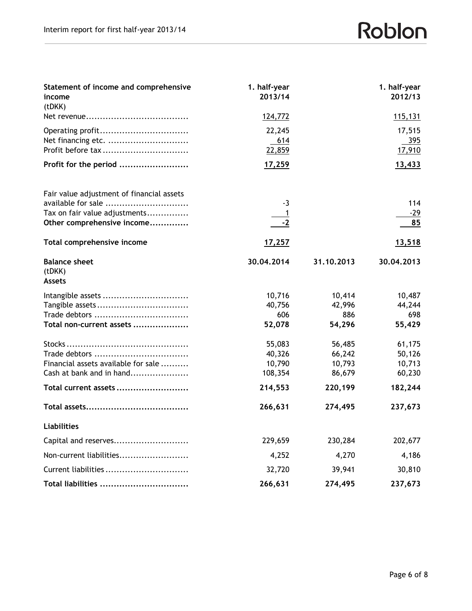# Roblon

| Statement of income and comprehensive<br>income<br>(tDKK)   | 1. half-year<br>2013/14 |            | 1. half-year<br>2012/13 |
|-------------------------------------------------------------|-------------------------|------------|-------------------------|
|                                                             | 124,772                 |            | <u>115,131</u>          |
| Operating profit<br>Net financing etc.<br>Profit before tax | 22,245<br>614<br>22,859 |            | 17,515<br>395<br>17,910 |
| Profit for the period                                       | 17,259                  |            | 13,433                  |
| Fair value adjustment of financial assets                   |                         |            |                         |
| available for sale                                          | -3                      |            | 114                     |
| Tax on fair value adjustments<br>Other comprehensive income | $-2$                    |            | $-29$<br>85             |
| Total comprehensive income                                  | <u>17,257</u>           |            | 13,518                  |
| <b>Balance sheet</b><br>(tDKK)<br><b>Assets</b>             | 30.04.2014              | 31.10.2013 | 30.04.2013              |
| Intangible assets                                           | 10,716                  | 10,414     | 10,487                  |
|                                                             | 40,756                  | 42,996     | 44,244                  |
|                                                             | 606                     | 886        | 698                     |
| Total non-current assets                                    | 52,078                  | 54,296     | 55,429                  |
|                                                             | 55,083                  | 56,485     | 61,175                  |
| Trade debtors                                               | 40,326                  | 66,242     | 50,126                  |
| Financial assets available for sale                         | 10,790                  | 10,793     | 10,713                  |
| Cash at bank and in hand                                    | 108,354                 | 86,679     | 60,230                  |
| Total current assets                                        | 214,553                 | 220,199    | 182,244                 |
|                                                             | 266,631                 | 274,495    | 237,673                 |
| <b>Liabilities</b>                                          |                         |            |                         |
| Capital and reserves                                        | 229,659                 | 230,284    | 202,677                 |
| Non-current liabilities                                     | 4,252                   | 4,270      | 4,186                   |
| Current liabilities                                         | 32,720                  | 39,941     | 30,810                  |
| Total liabilities                                           | 266,631                 | 274,495    | 237,673                 |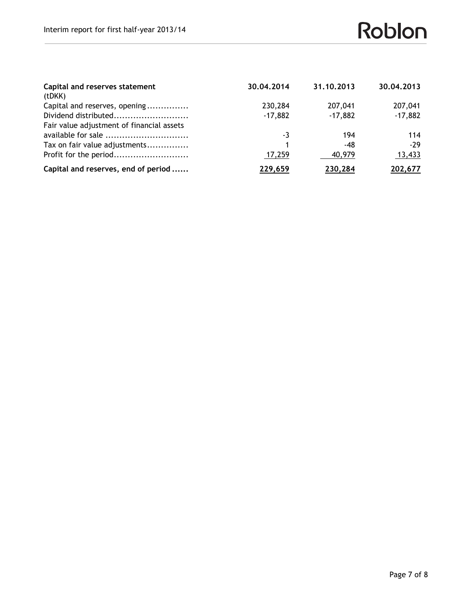| Capital and reserves statement            | 30.04.2014 | 31,10,2013 | 30.04.2013 |
|-------------------------------------------|------------|------------|------------|
| (tDKK)                                    |            |            |            |
| Capital and reserves, opening             | 230,284    | 207,041    | 207,041    |
| Dividend distributed                      | $-17,882$  | $-17,882$  | $-17,882$  |
| Fair value adjustment of financial assets |            |            |            |
| available for sale                        | -3         | 194        | 114        |
| Tax on fair value adjustments             |            | -48        | $-29$      |
| Profit for the period                     | 17,259     | 40,979     | 13,433     |
| Capital and reserves, end of period       | 229,659    | 230,284    | 202,677    |